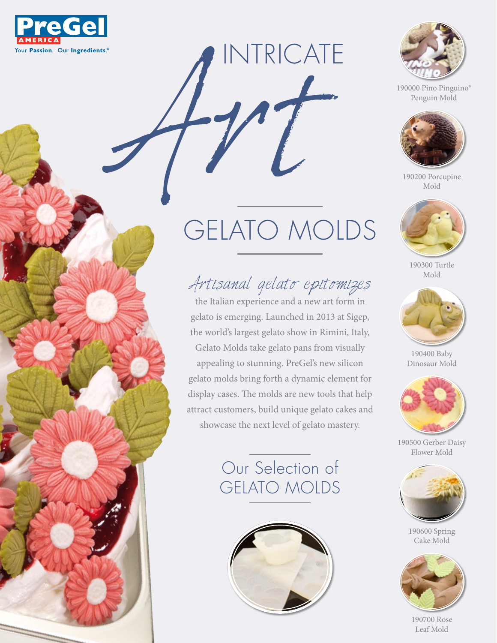



190000 Pino Pinguino® Penguin Mold



190200 Porcupine Mold



190300 Turtle Mold



190400 Baby Dinosaur Mold



190500 Gerber Daisy Flower Mold



190600 Spring Cake Mold



190700 Rose Leaf Mold

## Art GELATO MOLDS

INTRICATE

## Artisanal gelato epitomizes

the Italian experience and a new art form in gelato is emerging. Launched in 2013 at Sigep, the world's largest gelato show in Rimini, Italy, Gelato Molds take gelato pans from visually appealing to stunning. PreGel's new silicon gelato molds bring forth a dynamic element for display cases. The molds are new tools that help attract customers, build unique gelato cakes and showcase the next level of gelato mastery.

## Our Selection of GELATO MOLDS